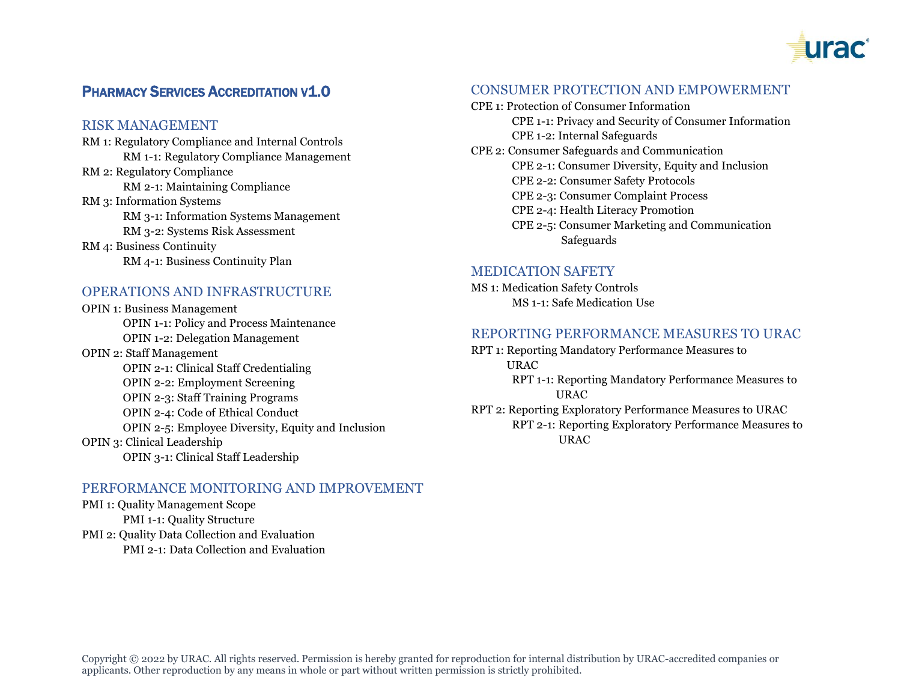

# **PHARMACY SERVICES ACCREDITATION V1.0**

#### RISK MANAGEMENT

RM 1: Regulatory Compliance and Internal Controls RM 1-1: Regulatory Compliance Management RM 2: Regulatory Compliance RM 2-1: Maintaining Compliance RM 3: Information Systems RM 3-1: Information Systems Management RM 3-2: Systems Risk Assessment RM 4: Business Continuity RM 4-1: Business Continuity Plan

# OPERATIONS AND INFRASTRUCTURE

OPIN 1: Business Management OPIN 1-1: Policy and Process Maintenance OPIN 1-2: Delegation Management OPIN 2: Staff Management OPIN 2-1: Clinical Staff Credentialing OPIN 2-2: Employment Screening OPIN 2-3: Staff Training Programs OPIN 2-4: Code of Ethical Conduct OPIN 2-5: Employee Diversity, Equity and Inclusion OPIN 3: Clinical Leadership OPIN 3-1: Clinical Staff Leadership

## PERFORMANCE MONITORING AND IMPROVEMENT

PMI 1: Quality Management Scope PMI 1-1: Quality Structure PMI 2: Quality Data Collection and Evaluation PMI 2-1: Data Collection and Evaluation

#### CONSUMER PROTECTION AND EMPOWERMENT

CPE 1: Protection of Consumer Information CPE 1-1: Privacy and Security of Consumer Information CPE 1-2: Internal Safeguards CPE 2: Consumer Safeguards and Communication CPE 2-1: Consumer Diversity, Equity and Inclusion CPE 2-2: Consumer Safety Protocols CPE 2-3: Consumer Complaint Process CPE 2-4: Health Literacy Promotion CPE 2-5: Consumer Marketing and Communication Safeguards

## MEDICATION SAFETY

MS 1: Medication Safety Controls MS 1-1: Safe Medication Use

#### REPORTING PERFORMANCE MEASURES TO URAC

- RPT 1: Reporting Mandatory Performance Measures to URAC
	- RPT 1-1: Reporting Mandatory Performance Measures to **URAC**
- RPT 2: Reporting Exploratory Performance Measures to URAC RPT 2-1: Reporting Exploratory Performance Measures to URAC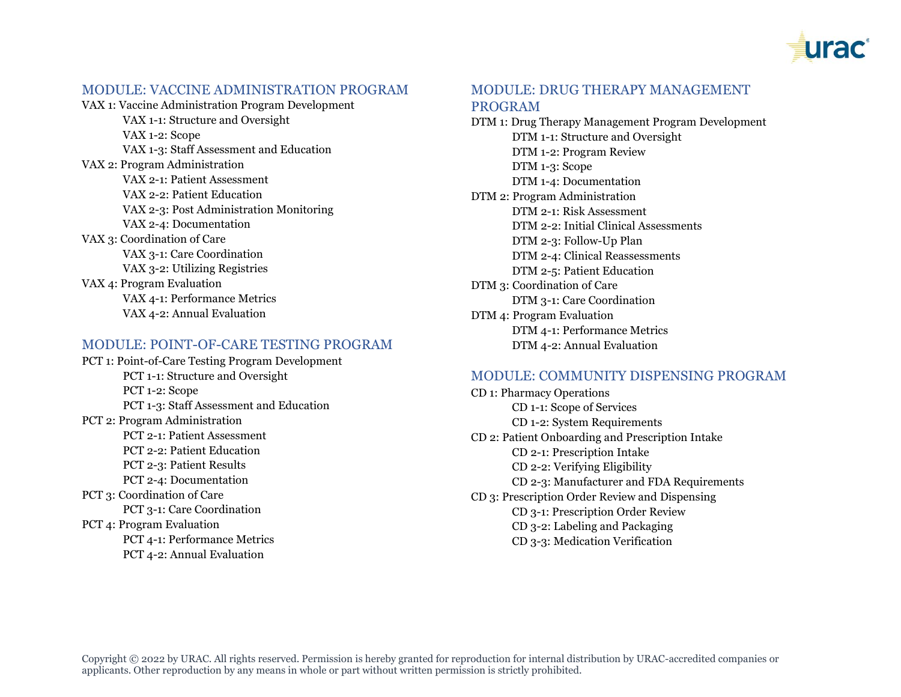

#### MODULE: VACCINE ADMINISTRATION PROGRAM

VAX 1: Vaccine Administration Program Development VAX 1-1: Structure and Oversight VAX 1-2: Scope VAX 1-3: Staff Assessment and Education VAX 2: Program Administration VAX 2-1: Patient Assessment VAX 2-2: Patient Education VAX 2-3: Post Administration Monitoring VAX 2-4: Documentation VAX 3: Coordination of Care VAX 3-1: Care Coordination VAX 3-2: Utilizing Registries VAX 4: Program Evaluation VAX 4-1: Performance Metrics VAX 4-2: Annual Evaluation

#### MODULE: POINT-OF-CARE TESTING PROGRAM

PCT 1: Point-of-Care Testing Program Development PCT 1-1: Structure and Oversight PCT 1-2: Scope PCT 1-3: Staff Assessment and Education PCT 2: Program Administration PCT 2-1: Patient Assessment PCT 2-2: Patient Education PCT 2-3: Patient Results PCT 2-4: Documentation PCT 3: Coordination of Care PCT 3-1: Care Coordination PCT 4: Program Evaluation PCT 4-1: Performance Metrics PCT 4-2: Annual Evaluation

## MODULE: DRUG THERAPY MANAGEMENT PROGRAM

DTM 1: Drug Therapy Management Program Development DTM 1-1: Structure and Oversight DTM 1-2: Program Review DTM 1-3: Scope DTM 1-4: Documentation DTM 2: Program Administration DTM 2-1: Risk Assessment DTM 2-2: Initial Clinical Assessments DTM 2-3: Follow-Up Plan DTM 2-4: Clinical Reassessments DTM 2-5: Patient Education DTM 3: Coordination of Care DTM 3-1: Care Coordination DTM 4: Program Evaluation DTM 4-1: Performance Metrics DTM 4-2: Annual Evaluation

## MODULE: COMMUNITY DISPENSING PROGRAM

CD 1: Pharmacy Operations CD 1-1: Scope of Services CD 1-2: System Requirements CD 2: Patient Onboarding and Prescription Intake CD 2-1: Prescription Intake CD 2-2: Verifying Eligibility CD 2-3: Manufacturer and FDA Requirements CD 3: Prescription Order Review and Dispensing CD 3-1: Prescription Order Review CD 3-2: Labeling and Packaging CD 3-3: Medication Verification